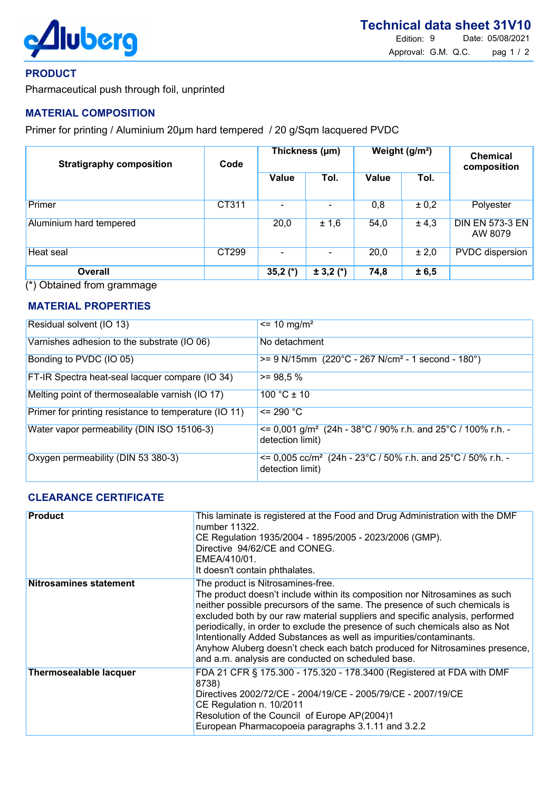

#### PRODUCT

Pharmaceutical push through foil, unprinted

## MATERIAL COMPOSITION

Primer for printing / Aluminium 20um hard tempered / 20 g/Sqm lacquered PVDC

| <b>Stratigraphy composition</b> | Code  | Thickness (µm) |               | Weight (g/m <sup>2</sup> ) |       | <b>Chemical</b><br>composition    |
|---------------------------------|-------|----------------|---------------|----------------------------|-------|-----------------------------------|
|                                 |       | <b>Value</b>   | Tol.          | Value                      | Tol.  |                                   |
| Primer                          | CT311 |                |               | 0,8                        | ± 0,2 | Polyester                         |
| Aluminium hard tempered         |       | 20,0           | ± 1,6         | 54,0                       | ± 4,3 | <b>DIN EN 573-3 EN</b><br>AW 8079 |
| Heat seal                       | CT299 |                |               | 20,0                       | ± 2,0 | <b>PVDC</b> dispersion            |
| <b>Overall</b>                  |       | 35,2 $(*)$     | $\pm$ 3,2 (*) | 74,8                       | ± 6,5 |                                   |

(\*) Obtained from grammage

#### MATERIAL PROPERTIES

| Residual solvent (IO 13)                              | $\epsilon$ = 10 mg/m <sup>2</sup>                                                                     |
|-------------------------------------------------------|-------------------------------------------------------------------------------------------------------|
| Varnishes adhesion to the substrate (IO 06)           | No detachment                                                                                         |
| Bonding to PVDC (IO 05)                               | $>= 9$ N/15mm (220°C - 267 N/cm <sup>2</sup> - 1 second - 180°)                                       |
| FT-IR Spectra heat-seal lacquer compare (IO 34)       | $>= 98.5 %$                                                                                           |
| Melting point of thermosealable varnish (IO 17)       | $100 °C \pm 10$                                                                                       |
| Primer for printing resistance to temperature (IO 11) | $\leq$ 290 °C                                                                                         |
| Water vapor permeability (DIN ISO 15106-3)            | $\epsilon$ = 0,001 g/m <sup>2</sup> (24h - 38°C / 90% r.h. and 25°C / 100% r.h. -<br>detection limit) |
| Oxygen permeability (DIN 53 380-3)                    | $\epsilon$ = 0,005 cc/m <sup>2</sup> (24h - 23°C / 50% r.h. and 25°C / 50% r.h. -<br>detection limit) |

## CLEARANCE CERTIFICATE

| <b>Product</b>                | This laminate is registered at the Food and Drug Administration with the DMF<br>number 11322.<br>CE Regulation 1935/2004 - 1895/2005 - 2023/2006 (GMP).<br>Directive 94/62/CE and CONEG.<br>EMEA/410/01.<br>It doesn't contain phthalates.                                                                                                                                                                                                                                                                                                                                |
|-------------------------------|---------------------------------------------------------------------------------------------------------------------------------------------------------------------------------------------------------------------------------------------------------------------------------------------------------------------------------------------------------------------------------------------------------------------------------------------------------------------------------------------------------------------------------------------------------------------------|
| <b>Nitrosamines statement</b> | The product is Nitrosamines-free.<br>The product doesn't include within its composition nor Nitrosamines as such<br>neither possible precursors of the same. The presence of such chemicals is<br>excluded both by our raw material suppliers and specific analysis, performed<br>periodically, in order to exclude the presence of such chemicals also as Not<br>Intentionally Added Substances as well as impurities/contaminants.<br>Anyhow Aluberg doesn't check each batch produced for Nitrosamines presence,<br>and a.m. analysis are conducted on scheduled base. |
| <b>Thermosealable lacquer</b> | FDA 21 CFR § 175.300 - 175.320 - 178.3400 (Registered at FDA with DMF<br>8738)<br>Directives 2002/72/CE - 2004/19/CE - 2005/79/CE - 2007/19/CE<br>CE Regulation n. 10/2011<br>Resolution of the Council of Europe AP(2004)1<br>European Pharmacopoeia paragraphs 3.1.11 and 3.2.2                                                                                                                                                                                                                                                                                         |